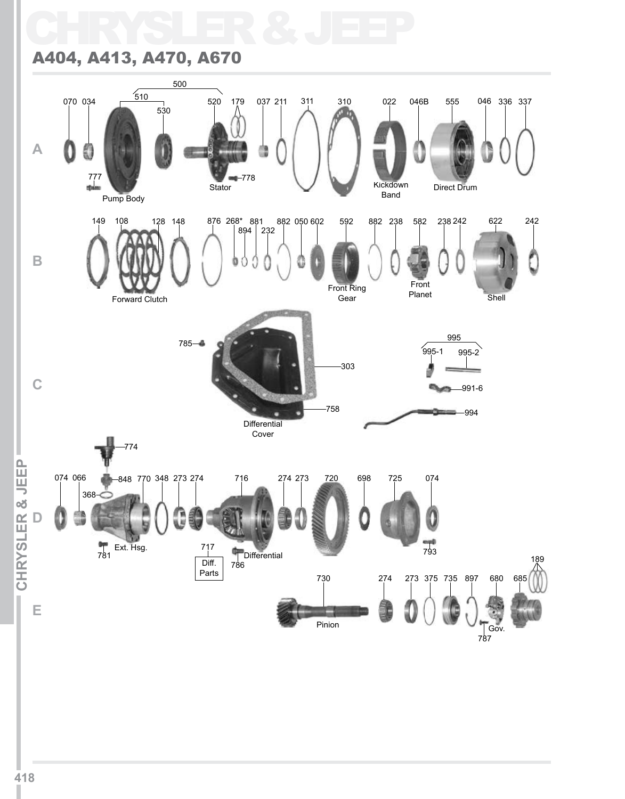# CHRYSLER & JEEP A404, A413, A470, A670

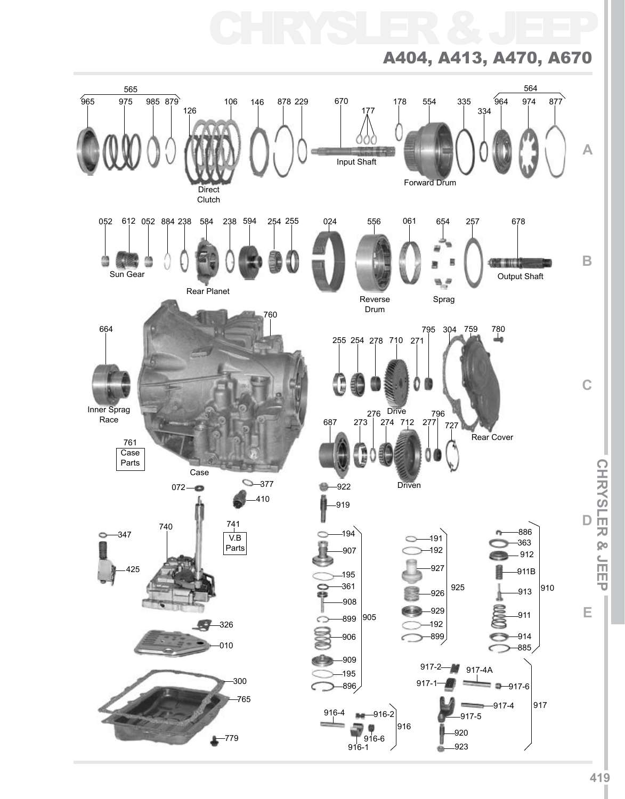CHRYSLER & JEEP

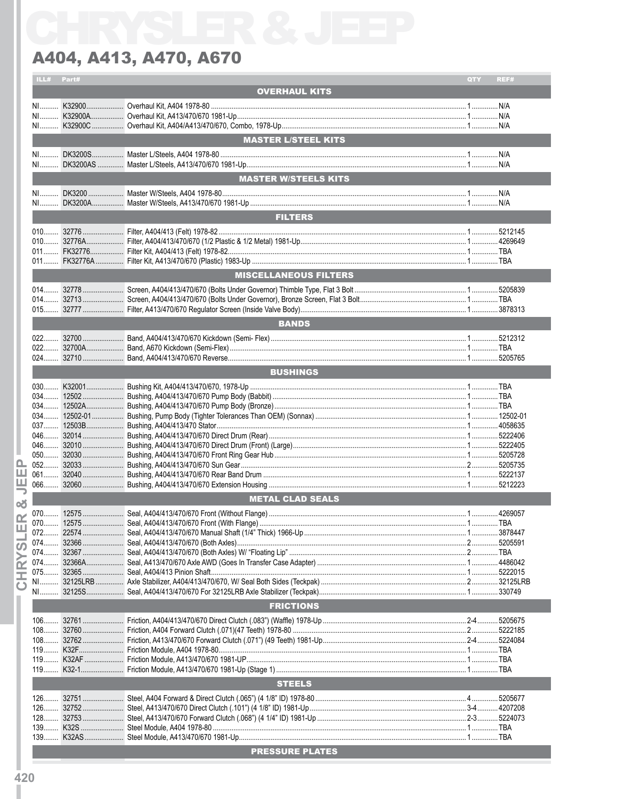|                                        | ILL# Part# |                              | QTY | REF# |
|----------------------------------------|------------|------------------------------|-----|------|
|                                        |            | <b>OVERHAUL KITS</b>         |     |      |
|                                        |            |                              |     |      |
|                                        |            |                              |     |      |
|                                        |            |                              |     |      |
|                                        |            |                              |     |      |
|                                        |            | <b>MASTER L/STEEL KITS</b>   |     |      |
|                                        |            |                              |     |      |
|                                        |            |                              |     |      |
|                                        |            | <b>MASTER W/STEELS KITS</b>  |     |      |
|                                        |            |                              |     |      |
|                                        |            |                              |     |      |
|                                        |            |                              |     |      |
|                                        |            | <b>FILTERS</b>               |     |      |
|                                        |            |                              |     |      |
|                                        |            |                              |     |      |
|                                        |            |                              |     |      |
|                                        |            |                              |     |      |
|                                        |            | <b>MISCELLANEOUS FILTERS</b> |     |      |
|                                        |            |                              |     |      |
|                                        |            |                              |     |      |
|                                        |            |                              |     |      |
|                                        |            |                              |     |      |
|                                        |            | <b>BANDS</b>                 |     |      |
|                                        |            |                              |     |      |
|                                        |            |                              |     |      |
|                                        |            |                              |     |      |
|                                        |            | <b>BUSHINGS</b>              |     |      |
|                                        |            |                              |     |      |
|                                        |            |                              |     |      |
|                                        |            |                              |     |      |
|                                        |            |                              |     |      |
|                                        |            |                              |     |      |
|                                        |            |                              |     |      |
|                                        |            |                              |     |      |
|                                        |            |                              |     |      |
| o.                                     |            |                              |     |      |
| ш                                      |            |                              |     |      |
| 当っ                                     |            |                              |     |      |
| න්                                     |            | <b>METAL CLAD SEALS</b>      |     |      |
|                                        |            |                              |     |      |
|                                        |            |                              |     |      |
| ш                                      |            |                              |     |      |
| ഗ                                      |            |                              |     |      |
|                                        |            |                              |     |      |
| $\bf \overline{R}$<br>Ξ<br>$\mathbf C$ | 074        |                              |     |      |
|                                        | 075        |                              |     |      |
|                                        |            |                              |     |      |
|                                        |            |                              |     |      |
|                                        |            | <b>FRICTIONS</b>             |     |      |
|                                        |            |                              |     |      |
|                                        | $108$      |                              |     |      |
|                                        |            |                              |     |      |
|                                        |            |                              |     |      |
|                                        |            |                              |     |      |
|                                        |            |                              |     |      |
|                                        |            | <b>STEELS</b>                |     |      |
|                                        | $126$      |                              |     |      |
|                                        | $126$      |                              |     |      |
|                                        |            |                              |     |      |
|                                        |            |                              |     |      |
|                                        |            |                              |     |      |
|                                        |            | <b>PRESSURE PLATES</b>       |     |      |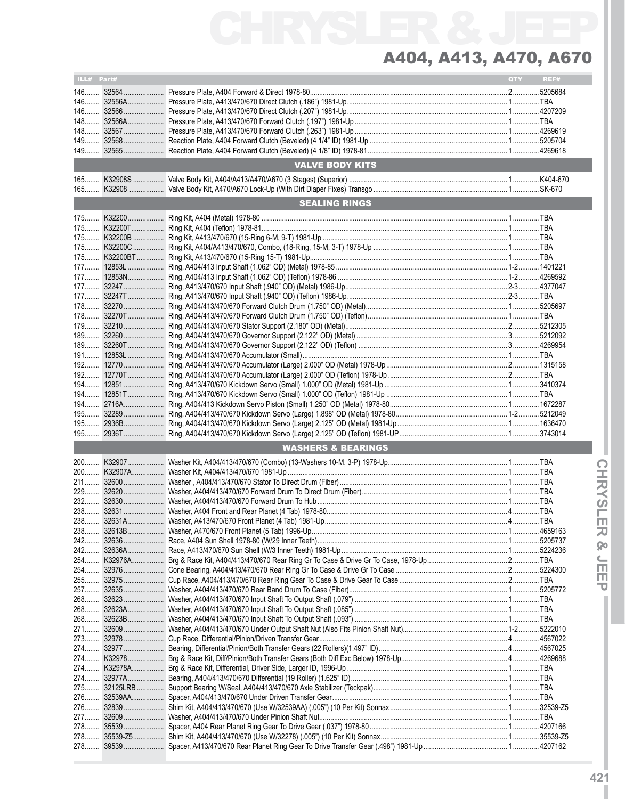# CHRYSLER & JEEP A404, A413, A470, A670

| $148$<br><b>VALVE BODY KITS</b><br><b>SEALING RINGS</b><br>$194$<br>$195$<br><b>WASHERS &amp; BEARINGS</b><br>$232$ | ILL# Part# |  | QTY | REF# |
|---------------------------------------------------------------------------------------------------------------------|------------|--|-----|------|
|                                                                                                                     |            |  |     |      |
|                                                                                                                     |            |  |     |      |
|                                                                                                                     |            |  |     |      |
|                                                                                                                     |            |  |     |      |
|                                                                                                                     |            |  |     |      |
|                                                                                                                     |            |  |     |      |
|                                                                                                                     |            |  |     |      |
|                                                                                                                     |            |  |     |      |
|                                                                                                                     |            |  |     |      |
|                                                                                                                     |            |  |     |      |
|                                                                                                                     |            |  |     |      |
|                                                                                                                     |            |  |     |      |
|                                                                                                                     |            |  |     |      |
|                                                                                                                     |            |  |     |      |
|                                                                                                                     |            |  |     |      |
|                                                                                                                     |            |  |     |      |
|                                                                                                                     |            |  |     |      |
|                                                                                                                     |            |  |     |      |
|                                                                                                                     |            |  |     |      |
|                                                                                                                     |            |  |     |      |
|                                                                                                                     |            |  |     |      |
|                                                                                                                     |            |  |     |      |
|                                                                                                                     |            |  |     |      |
|                                                                                                                     |            |  |     |      |
|                                                                                                                     |            |  |     |      |
|                                                                                                                     |            |  |     |      |
|                                                                                                                     |            |  |     |      |
|                                                                                                                     |            |  |     |      |
|                                                                                                                     |            |  |     |      |
|                                                                                                                     |            |  |     |      |
|                                                                                                                     |            |  |     |      |
|                                                                                                                     |            |  |     |      |
|                                                                                                                     |            |  |     |      |
|                                                                                                                     |            |  |     |      |
|                                                                                                                     |            |  |     |      |
|                                                                                                                     |            |  |     |      |
|                                                                                                                     |            |  |     |      |
|                                                                                                                     |            |  |     |      |
|                                                                                                                     |            |  |     |      |
|                                                                                                                     |            |  |     |      |
|                                                                                                                     |            |  |     |      |
|                                                                                                                     |            |  |     |      |
|                                                                                                                     |            |  |     |      |
|                                                                                                                     |            |  |     |      |
|                                                                                                                     |            |  |     |      |
|                                                                                                                     |            |  |     |      |
|                                                                                                                     |            |  |     |      |
|                                                                                                                     |            |  |     |      |
|                                                                                                                     |            |  |     |      |
|                                                                                                                     |            |  |     |      |
|                                                                                                                     |            |  |     |      |
|                                                                                                                     |            |  |     |      |
|                                                                                                                     |            |  |     |      |
|                                                                                                                     |            |  |     |      |
|                                                                                                                     |            |  |     |      |
|                                                                                                                     |            |  |     |      |
|                                                                                                                     |            |  |     |      |
|                                                                                                                     |            |  |     |      |
|                                                                                                                     |            |  |     |      |
|                                                                                                                     |            |  |     |      |
|                                                                                                                     |            |  |     |      |
|                                                                                                                     |            |  |     |      |
|                                                                                                                     |            |  |     |      |
|                                                                                                                     |            |  |     |      |
|                                                                                                                     |            |  |     |      |
|                                                                                                                     |            |  |     |      |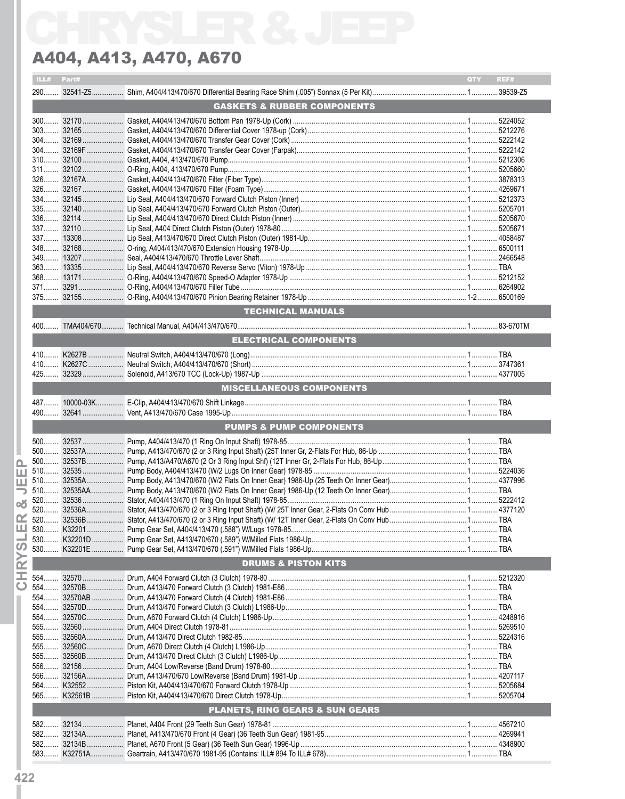|            | ILL# Part# |                                            | QTY REF# |
|------------|------------|--------------------------------------------|----------|
|            |            |                                            |          |
|            |            | <b>GASKETS &amp; RUBBER COMPONENTS</b>     |          |
|            |            |                                            |          |
|            |            |                                            |          |
|            |            |                                            |          |
|            |            |                                            |          |
|            |            |                                            |          |
|            |            |                                            |          |
|            |            |                                            |          |
|            |            |                                            |          |
|            |            |                                            |          |
|            |            |                                            |          |
|            |            |                                            |          |
|            |            |                                            |          |
|            |            |                                            |          |
|            |            |                                            |          |
|            |            |                                            |          |
|            |            |                                            |          |
|            |            |                                            |          |
|            |            |                                            |          |
|            |            |                                            |          |
|            |            | <b>TECHNICAL MANUALS</b>                   |          |
|            |            |                                            |          |
|            |            | ELECTRICAL COMPONENTS                      |          |
|            |            |                                            |          |
|            |            |                                            |          |
|            |            |                                            |          |
|            |            |                                            |          |
|            |            | <b>MISCELLANEOUS COMPONENTS</b>            |          |
|            |            |                                            |          |
|            |            |                                            |          |
|            |            | PUMPS & PUMP COMPONENTS                    |          |
| $500$      |            |                                            |          |
|            |            |                                            |          |
|            |            |                                            |          |
|            |            |                                            |          |
|            |            |                                            |          |
|            |            |                                            |          |
|            |            |                                            |          |
|            |            |                                            |          |
|            |            |                                            |          |
| Ш 530.     | K32201     |                                            |          |
| 530        |            |                                            |          |
| $530$      |            |                                            |          |
|            |            | <b>DRUMS &amp; PISTON KITS</b>             |          |
| 554        |            |                                            |          |
| 554.       |            |                                            |          |
| 554        |            |                                            |          |
| $554$      |            |                                            |          |
| 554        |            |                                            |          |
| $555$      |            |                                            |          |
| 555        |            |                                            |          |
| 555        |            |                                            |          |
| 555        |            |                                            |          |
| 556        |            |                                            |          |
| $556$      |            |                                            |          |
| 564        |            |                                            |          |
| 565        |            |                                            |          |
|            |            | <b>PLANETS, RING GEARS &amp; SUN GEARS</b> |          |
|            |            |                                            |          |
|            |            |                                            |          |
| 582<br>582 |            |                                            |          |
| 582.       |            |                                            |          |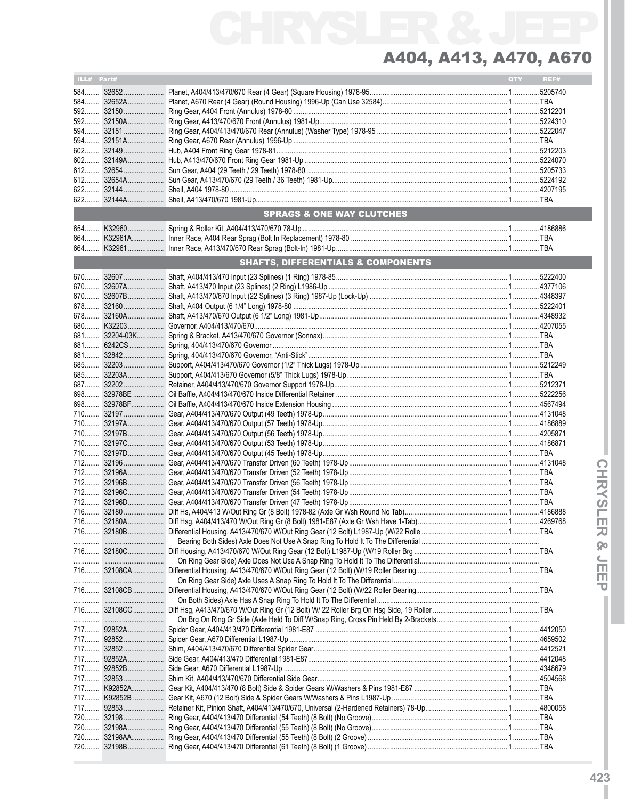| ILL# Part# |                                               | QTY | REF# |
|------------|-----------------------------------------------|-----|------|
|            |                                               |     |      |
|            |                                               |     |      |
|            |                                               |     |      |
|            |                                               |     |      |
|            |                                               |     |      |
|            |                                               |     |      |
|            |                                               |     |      |
|            |                                               |     |      |
|            |                                               |     |      |
|            |                                               |     |      |
|            |                                               |     |      |
|            |                                               |     |      |
|            |                                               |     |      |
|            | SPRAGS & ONE WAY CLUTCHES                     |     |      |
|            |                                               |     |      |
|            |                                               |     |      |
|            |                                               |     |      |
|            | <b>SHAFTS, DIFFERENTIALS &amp; COMPONENTS</b> |     |      |
|            |                                               |     |      |
|            |                                               |     |      |
|            |                                               |     |      |
|            |                                               |     |      |
|            |                                               |     |      |
|            |                                               |     |      |
|            |                                               |     |      |
|            |                                               |     |      |
|            |                                               |     |      |
|            |                                               |     |      |
|            |                                               |     |      |
|            |                                               |     |      |
|            |                                               |     |      |
|            |                                               |     |      |
|            |                                               |     |      |
|            |                                               |     |      |
|            |                                               |     |      |
|            |                                               |     |      |
|            |                                               |     |      |
|            |                                               |     |      |
|            |                                               |     |      |
|            |                                               |     |      |
|            |                                               |     |      |
|            |                                               |     |      |
|            |                                               |     |      |
|            |                                               |     |      |
|            |                                               |     |      |
|            |                                               |     |      |
|            |                                               |     |      |
|            |                                               |     |      |
|            |                                               |     |      |
|            |                                               |     |      |
|            |                                               |     |      |
|            |                                               |     |      |
|            |                                               |     |      |
|            |                                               |     |      |
|            |                                               |     |      |
|            |                                               |     |      |
|            |                                               |     |      |
|            |                                               |     |      |
|            |                                               |     |      |
|            |                                               |     |      |
|            |                                               |     |      |
|            |                                               |     |      |
|            |                                               |     |      |
|            |                                               |     |      |
|            |                                               |     |      |
|            |                                               |     |      |
|            |                                               |     |      |
|            |                                               |     |      |
|            |                                               |     |      |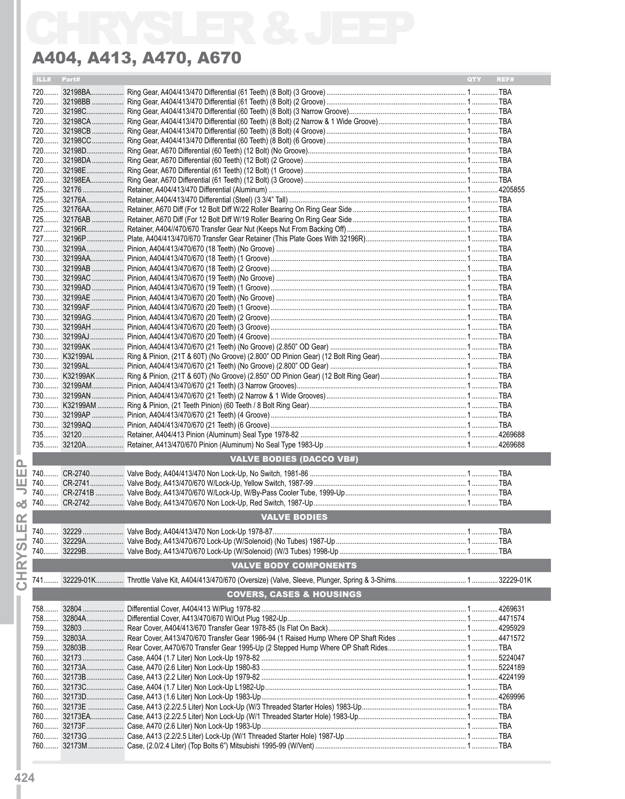| ILL# | Part# |                                     | <b>OTY</b> | REF# |
|------|-------|-------------------------------------|------------|------|
|      |       |                                     |            |      |
|      |       |                                     |            |      |
|      |       |                                     |            |      |
|      |       |                                     |            |      |
|      |       |                                     |            |      |
|      |       |                                     |            |      |
|      |       |                                     |            |      |
|      |       |                                     |            |      |
|      |       |                                     |            |      |
|      |       |                                     |            |      |
|      |       |                                     |            |      |
|      |       |                                     |            |      |
|      |       |                                     |            |      |
|      |       |                                     |            |      |
|      |       |                                     |            |      |
|      |       |                                     |            |      |
|      |       |                                     |            |      |
|      |       |                                     |            |      |
|      |       |                                     |            |      |
|      |       |                                     |            |      |
|      |       |                                     |            |      |
|      |       |                                     |            |      |
|      |       |                                     |            |      |
|      |       |                                     |            |      |
|      |       |                                     |            |      |
|      |       |                                     |            |      |
|      |       |                                     |            |      |
|      |       |                                     |            |      |
|      |       |                                     |            |      |
|      |       |                                     |            |      |
|      |       |                                     |            |      |
|      |       |                                     |            |      |
|      |       |                                     |            |      |
|      |       |                                     |            |      |
|      |       | <b>VALVE BODIES (DACCO VB#)</b>     |            |      |
|      |       |                                     |            |      |
|      |       |                                     |            |      |
|      |       |                                     |            |      |
|      |       |                                     |            |      |
|      |       | <b>VALVE BODIES</b>                 |            |      |
|      |       |                                     |            |      |
|      |       |                                     |            |      |
|      |       |                                     |            |      |
|      |       | <b>VALVE BODY COMPONENTS</b>        |            |      |
|      |       |                                     |            |      |
|      |       | <b>COVERS, CASES &amp; HOUSINGS</b> |            |      |
|      |       |                                     |            |      |
|      |       |                                     |            |      |
|      |       |                                     |            |      |
|      |       |                                     |            |      |
|      |       |                                     |            |      |
|      |       |                                     |            |      |
|      |       |                                     |            |      |
|      |       |                                     |            |      |
|      |       |                                     |            |      |
|      |       |                                     |            |      |
|      |       |                                     |            |      |
|      |       |                                     |            |      |
|      |       |                                     |            |      |
|      |       |                                     |            |      |